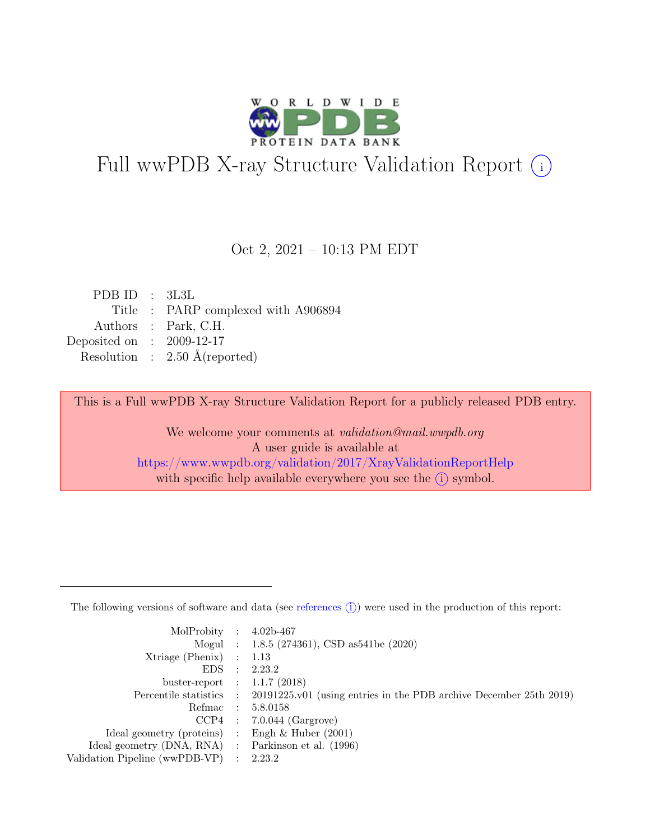

# Full wwPDB X-ray Structure Validation Report  $(i)$

#### Oct 2, 2021 – 10:13 PM EDT

| PDBID : 3L3L                |                                          |
|-----------------------------|------------------------------------------|
|                             | Title : PARP complexed with A906894      |
|                             | Authors : Park, C.H.                     |
| Deposited on : $2009-12-17$ |                                          |
|                             | Resolution : $2.50 \text{ Å}$ (reported) |
|                             |                                          |

This is a Full wwPDB X-ray Structure Validation Report for a publicly released PDB entry.

We welcome your comments at validation@mail.wwpdb.org A user guide is available at <https://www.wwpdb.org/validation/2017/XrayValidationReportHelp> with specific help available everywhere you see the  $(i)$  symbol.

The following versions of software and data (see [references](https://www.wwpdb.org/validation/2017/XrayValidationReportHelp#references)  $(i)$ ) were used in the production of this report:

| MolProbity : $4.02b-467$                            |                                                                                            |
|-----------------------------------------------------|--------------------------------------------------------------------------------------------|
|                                                     | Mogul : $1.8.5$ (274361), CSD as 541be (2020)                                              |
| $Xtriangle (Phenix)$ : 1.13                         |                                                                                            |
|                                                     | EDS : 2.23.2                                                                               |
| buster-report : $1.1.7$ (2018)                      |                                                                                            |
|                                                     | Percentile statistics : 20191225.v01 (using entries in the PDB archive December 25th 2019) |
|                                                     | Refmac : 5.8.0158                                                                          |
|                                                     | $CCP4$ : 7.0.044 (Gargrove)                                                                |
| Ideal geometry (proteins) : Engh $\&$ Huber (2001)  |                                                                                            |
| Ideal geometry (DNA, RNA) : Parkinson et al. (1996) |                                                                                            |
| Validation Pipeline (wwPDB-VP) : 2.23.2             |                                                                                            |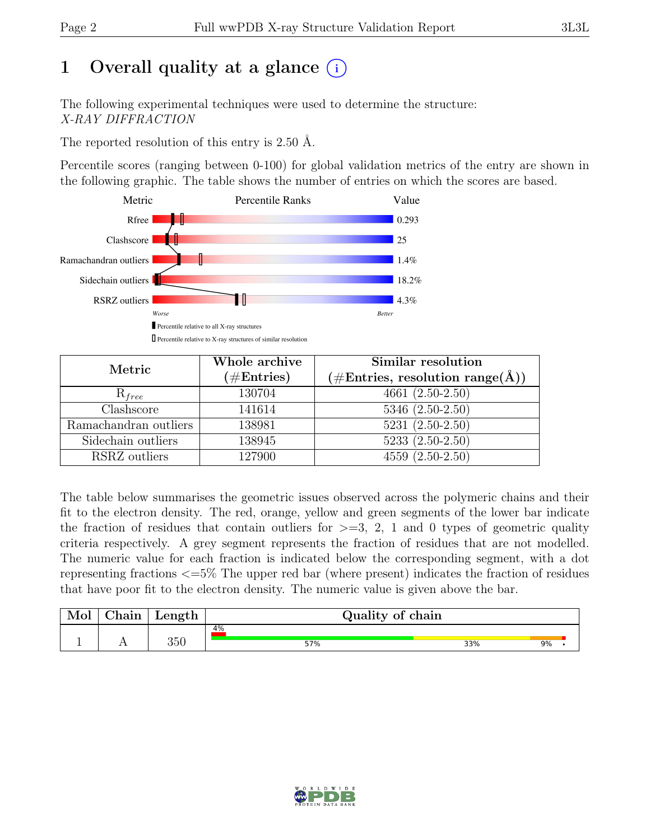# 1 Overall quality at a glance  $(i)$

The following experimental techniques were used to determine the structure: X-RAY DIFFRACTION

The reported resolution of this entry is 2.50 Å.

Percentile scores (ranging between 0-100) for global validation metrics of the entry are shown in the following graphic. The table shows the number of entries on which the scores are based.



| Metric                          | Whole archive<br>$(\#\text{Entries})$ | Similar resolution<br>$(\# \text{Entries}, \text{ resolution } \text{range}(\AA))$ |
|---------------------------------|---------------------------------------|------------------------------------------------------------------------------------|
| $R_{free}$                      | 130704                                | $4661 (2.50 - 2.50)$                                                               |
| $\overline{\text{Cl}}$ ashscore | 141614                                | $5346 (2.50 - 2.50)$                                                               |
| Ramachandran outliers           | 138981                                | $5231 (2.50 - 2.50)$                                                               |
| Sidechain outliers              | 138945                                | $5233(2.50-2.50)$                                                                  |
| RSRZ outliers                   | 127900                                | $4559(2.50-2.50)$                                                                  |

The table below summarises the geometric issues observed across the polymeric chains and their fit to the electron density. The red, orange, yellow and green segments of the lower bar indicate the fraction of residues that contain outliers for  $\geq$ =3, 2, 1 and 0 types of geometric quality criteria respectively. A grey segment represents the fraction of residues that are not modelled. The numeric value for each fraction is indicated below the corresponding segment, with a dot representing fractions <=5% The upper red bar (where present) indicates the fraction of residues that have poor fit to the electron density. The numeric value is given above the bar.

| Mol | ${\rm Chain}$ | Length | Quality of chain |           |  |
|-----|---------------|--------|------------------|-----------|--|
|     |               | 350    | 4%<br>57%        | 9%<br>33% |  |

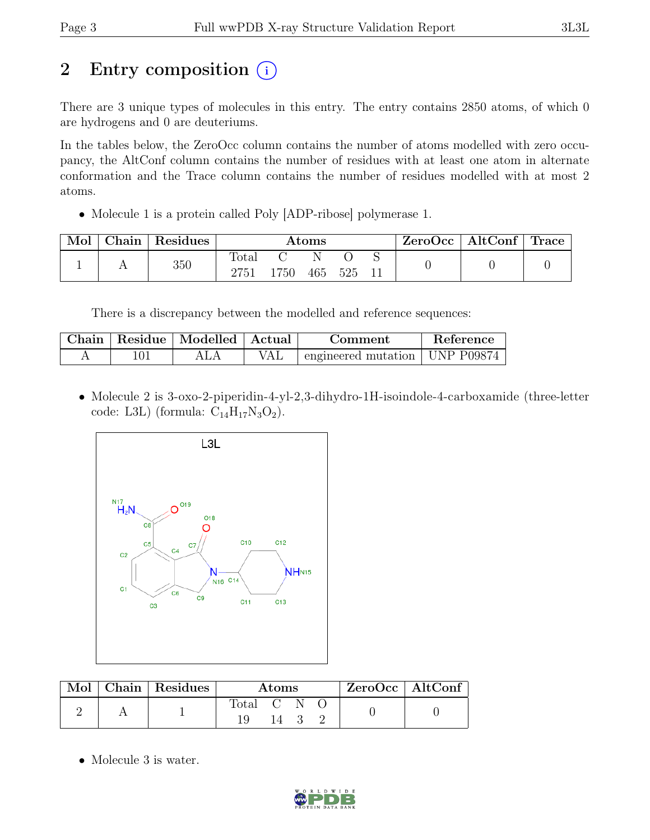# 2 Entry composition  $(i)$

There are 3 unique types of molecules in this entry. The entry contains 2850 atoms, of which 0 are hydrogens and 0 are deuteriums.

In the tables below, the ZeroOcc column contains the number of atoms modelled with zero occupancy, the AltConf column contains the number of residues with at least one atom in alternate conformation and the Trace column contains the number of residues modelled with at most 2 atoms.

• Molecule 1 is a protein called Poly [ADP-ribose] polymerase 1.

| Mol | Chain | Residues | $\rm{Atoms}$      |      |     |       | ZeroOcc | $\mid$ AltConf $\mid$ Trace |  |  |
|-----|-------|----------|-------------------|------|-----|-------|---------|-----------------------------|--|--|
|     |       | 350      | Total<br>$2751\,$ | 1750 | 465 | - 525 |         |                             |  |  |

There is a discrepancy between the modelled and reference sequences:

| Chain | Residue   Modelled   Actual | Comment                          | Reference |
|-------|-----------------------------|----------------------------------|-----------|
|       |                             | engineered mutation   UNP P09874 |           |

• Molecule 2 is 3-oxo-2-piperidin-4-yl-2,3-dihydro-1H-isoindole-4-carboxamide (three-letter code: L3L) (formula:  $C_{14}H_{17}N_3O_2$ ).



|  | Mol   Chain   Residues | <b>Atoms</b> |      |  | $ZeroOcc \mid AltConf \mid$ |  |
|--|------------------------|--------------|------|--|-----------------------------|--|
|  |                        | Total C N C  | 14 3 |  |                             |  |

• Molecule 3 is water.

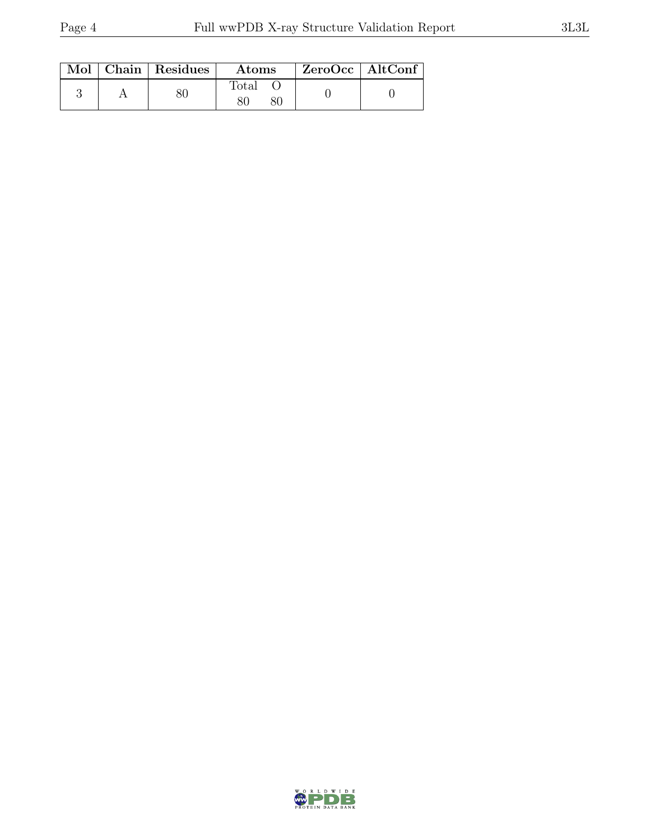|  | Mol   Chain   Residues | Atoms          | $ZeroOcc \   \ AltConf \  $ |
|--|------------------------|----------------|-----------------------------|
|  |                        | $\text{Total}$ |                             |

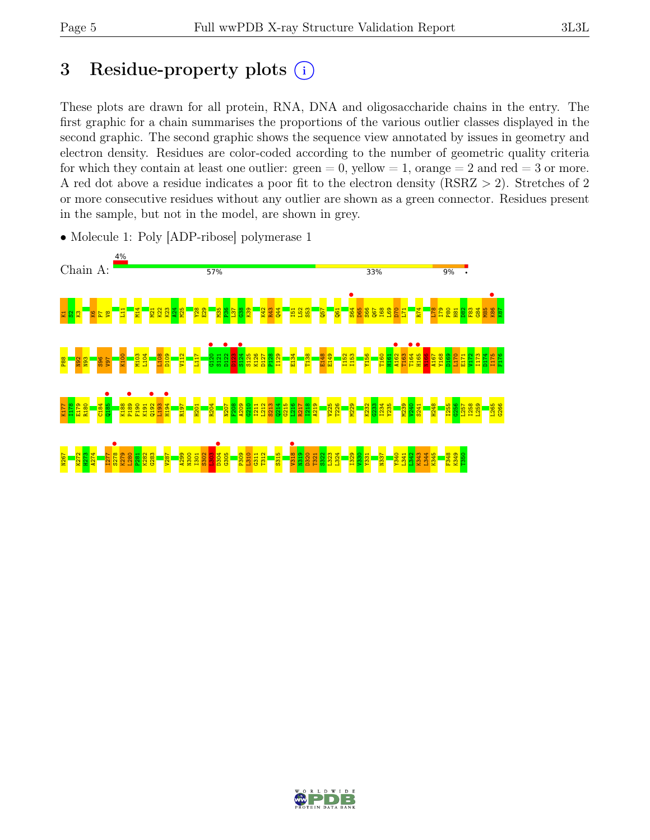# 3 Residue-property plots  $(i)$

These plots are drawn for all protein, RNA, DNA and oligosaccharide chains in the entry. The first graphic for a chain summarises the proportions of the various outlier classes displayed in the second graphic. The second graphic shows the sequence view annotated by issues in geometry and electron density. Residues are color-coded according to the number of geometric quality criteria for which they contain at least one outlier:  $green = 0$ , yellow  $= 1$ , orange  $= 2$  and red  $= 3$  or more. A red dot above a residue indicates a poor fit to the electron density (RSRZ > 2). Stretches of 2 or more consecutive residues without any outlier are shown as a green connector. Residues present in the sample, but not in the model, are shown in grey.



• Molecule 1: Poly [ADP-ribose] polymerase 1

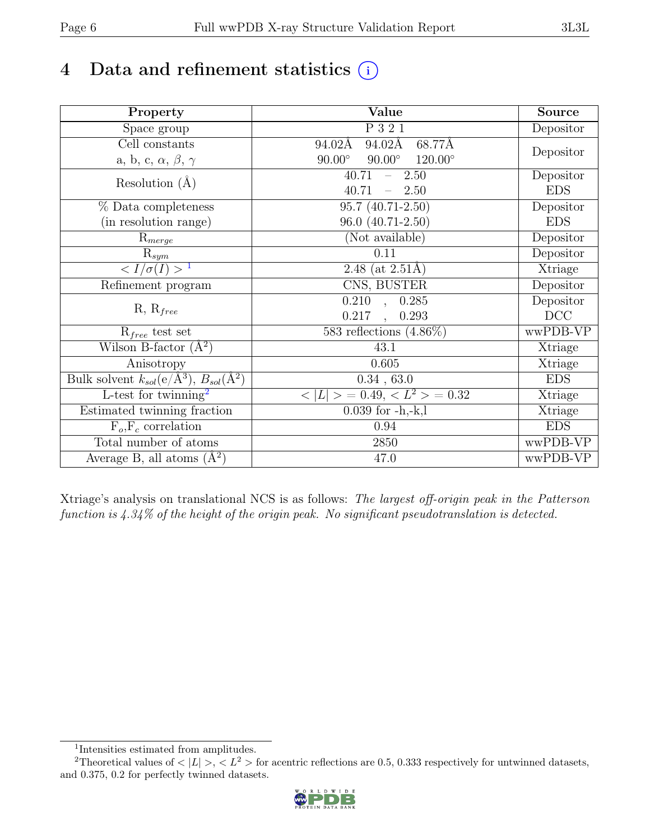# 4 Data and refinement statistics  $(i)$

| Property                                                             | Value                                              | Source     |
|----------------------------------------------------------------------|----------------------------------------------------|------------|
| Space group                                                          | P 3 2 1                                            | Depositor  |
| $\overline{C}$ ell constants                                         | 94.02Å<br>68.77Å<br>94.02Å                         |            |
| a, b, c, $\alpha$ , $\beta$ , $\gamma$                               | $90.00^\circ$<br>$120.00^{\circ}$<br>$90.00^\circ$ | Depositor  |
| Resolution $(A)$                                                     | 40.71<br>$-2.50$                                   | Depositor  |
|                                                                      | 40.71<br>$-2.50$                                   | <b>EDS</b> |
| % Data completeness                                                  | $\overline{95.7 \ (40.71-2.50)}$                   | Depositor  |
| (in resolution range)                                                | 96.0 (40.71-2.50)                                  | <b>EDS</b> |
| $\mathrm{R}_{merge}$                                                 | (Not available)                                    | Depositor  |
| $\mathrm{R}_{sym}$                                                   | 0.11                                               | Depositor  |
| $\langle I/\sigma(I) \rangle$ <sup>1</sup>                           | 2.48 (at $2.51\text{\AA}$ )                        | Xtriage    |
| Refinement program                                                   | CNS, BUSTER                                        | Depositor  |
|                                                                      | $\overline{0.210}$ ,<br>0.285                      | Depositor  |
| $R, R_{free}$                                                        | 0.217<br>0.293<br>$\ddot{\phantom{a}}$             | DCC        |
| $R_{free}$ test set                                                  | 583 reflections $(4.86\%)$                         | wwPDB-VP   |
| Wilson B-factor $(A^2)$                                              | 43.1                                               | Xtriage    |
| Anisotropy                                                           | 0.605                                              | Xtriage    |
| Bulk solvent $k_{sol}(e/\mathring{A}^3)$ , $B_{sol}(\mathring{A}^2)$ | 0.34, 63.0                                         | <b>EDS</b> |
| L-test for twinning <sup>2</sup>                                     | $< L >$ = 0.49, $< L2$ > = 0.32                    | Xtriage    |
| Estimated twinning fraction                                          | $0.039$ for $-h,-k,l$                              | Xtriage    |
| $F_o, F_c$ correlation                                               | 0.94                                               | <b>EDS</b> |
| Total number of atoms                                                | 2850                                               | wwPDB-VP   |
| Average B, all atoms $(A^2)$                                         | 47.0                                               | wwPDB-VP   |

Xtriage's analysis on translational NCS is as follows: The largest off-origin peak in the Patterson function is  $4.34\%$  of the height of the origin peak. No significant pseudotranslation is detected.

<sup>&</sup>lt;sup>2</sup>Theoretical values of  $\langle |L| \rangle$ ,  $\langle L^2 \rangle$  for acentric reflections are 0.5, 0.333 respectively for untwinned datasets, and 0.375, 0.2 for perfectly twinned datasets.



<span id="page-5-1"></span><span id="page-5-0"></span><sup>1</sup> Intensities estimated from amplitudes.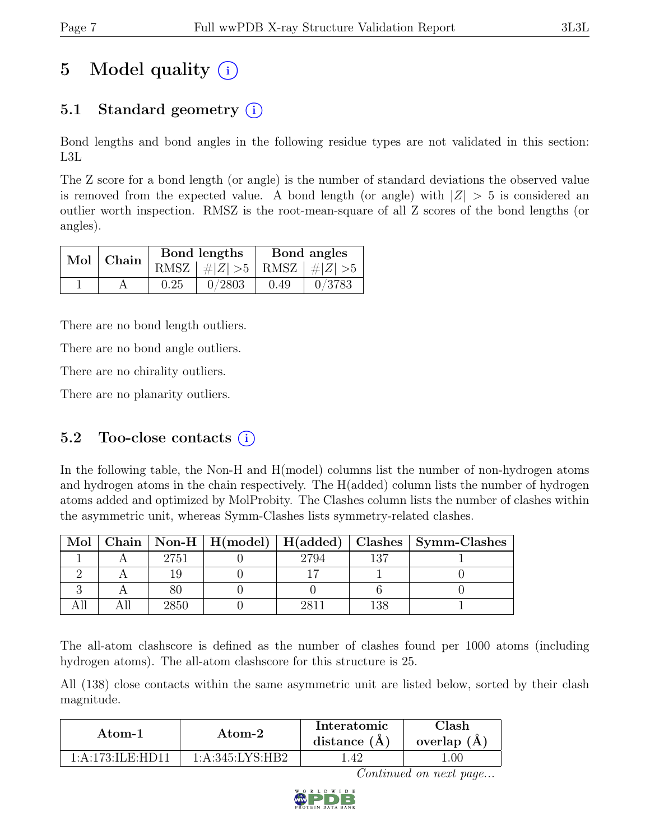# 5 Model quality  $(i)$

# 5.1 Standard geometry  $(i)$

Bond lengths and bond angles in the following residue types are not validated in this section: L3L

The Z score for a bond length (or angle) is the number of standard deviations the observed value is removed from the expected value. A bond length (or angle) with  $|Z| > 5$  is considered an outlier worth inspection. RMSZ is the root-mean-square of all Z scores of the bond lengths (or angles).

| Mol   Chain |      | Bond lengths                      | Bond angles |        |  |
|-------------|------|-----------------------------------|-------------|--------|--|
|             |      | RMSZ $ #Z  > 5$   RMSZ $ #Z  > 5$ |             |        |  |
|             | 0.25 | 0/2803                            | 0.49        | 0/3783 |  |

There are no bond length outliers.

There are no bond angle outliers.

There are no chirality outliers.

There are no planarity outliers.

### 5.2 Too-close contacts  $(i)$

In the following table, the Non-H and H(model) columns list the number of non-hydrogen atoms and hydrogen atoms in the chain respectively. The H(added) column lists the number of hydrogen atoms added and optimized by MolProbity. The Clashes column lists the number of clashes within the asymmetric unit, whereas Symm-Clashes lists symmetry-related clashes.

| Mol |      |      |     | Chain   Non-H   H(model)   H(added)   Clashes   Symm-Clashes |
|-----|------|------|-----|--------------------------------------------------------------|
|     | 2751 | 2794 | 197 |                                                              |
|     |      |      |     |                                                              |
|     |      |      |     |                                                              |
|     |      |      |     |                                                              |

The all-atom clashscore is defined as the number of clashes found per 1000 atoms (including hydrogen atoms). The all-atom clashscore for this structure is 25.

All (138) close contacts within the same asymmetric unit are listed below, sorted by their clash magnitude.

| Atom-1            | Atom-2             | Interatomic<br>distance $(\AA)$ | Clash<br>overlap $(A)$ |
|-------------------|--------------------|---------------------------------|------------------------|
| 1:A:173:II.F·HD11 | 1: A:345: LYS: HB2 | .42                             | .00                    |

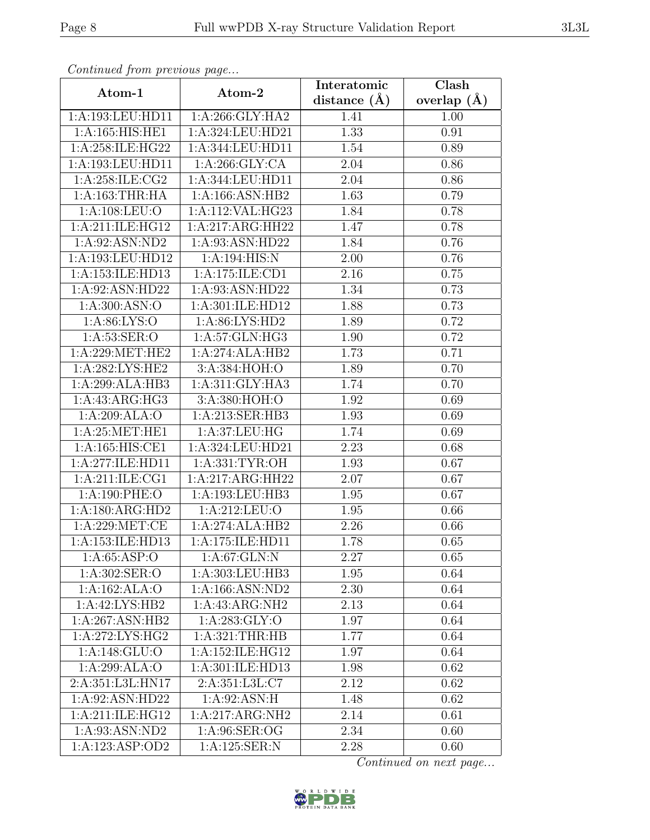| Continuea from previous page |                                     | Interatomic        | Clash         |
|------------------------------|-------------------------------------|--------------------|---------------|
| Atom-1                       | Atom-2                              | distance $(A)$     | overlap $(A)$ |
| 1:A:193:LEU:HD11             | 1: A:266: GLY:HA2                   | 1.41               | 1.00          |
| 1: A:165: HIS: HE1           | 1:A:324:LEU:HD21                    | 1.33               | 0.91          |
| 1:A:258:ILE:HG22             | 1:A:344:LEU:HD11                    | 1.54               | 0.89          |
| 1:A:193:LEU:HD11             | 1: A:266: GLY:CA                    | 2.04               | 0.86          |
| 1:A:258:ILE:CG2              | 1:A:344:LEU:HD11                    | 2.04               | 0.86          |
| 1: A: 163: THR: HA           | 1:A:166:ASN:HB2                     | $1.6\overline{3}$  | 0.79          |
| 1: A: 108: LEU: O            | 1:A:112:VAL:HG23                    | $\overline{1}$ .84 | 0.78          |
| 1:A:211:ILE:HG12             | 1:A:217:ARG:HH22                    | 1.47               | 0.78          |
| 1: A:92: ASN:ND2             | 1:A:93:ASN:HD22                     | 1.84               | 0.76          |
| 1:A:193:LEU:HD12             | 1: A:194: HIS:N                     | 2.00               | 0.76          |
| 1:A:153:ILE:HD13             | 1:A:175:ILE:CD1                     | 2.16               | 0.75          |
| 1:A:92:ASN:HD22              | 1:A:93:ASN:HD22                     | 1.34               | 0.73          |
| 1: A:300: ASN:O              | 1:A:301:ILE:HD12                    | 1.88               | 0.73          |
| 1: A:86: LYS:O               | 1:A:86:LYS:HD2                      | 1.89               | 0.72          |
| 1: A:53: SER:O               | 1:A:57:GLN:HG3                      | 1.90               | 0.72          |
| 1: A:229: MET:HE2            | 1:A:274:ALA:HB2                     | 1.73               | 0.71          |
| 1:A:282:LYS:HE2              | 3: A:384: HOH: O                    | 1.89               | 0.70          |
| 1:A:299:ALA:HB3              | 1: A:311: GLY:HA3                   | 1.74               | 0.70          |
| 1:A:43:ARG:HG3               | 3:A:380:HOH:O                       | 1.92               | 0.69          |
| 1:A:209:ALA:O                | 1:A:213:SER:HB3                     | 1.93               | 0.69          |
| 1: A:25: MET:HE1             | 1:A:37:LEU:HG                       | 1.74               | 0.69          |
| 1:A:165:HIS:CE1              | 1:A:324:LEU:HD21                    | 2.23               | 0.68          |
| 1:A:277:ILE:HD11             | 1:A:331:TYR:OH                      | 1.93               | 0.67          |
| 1:A:211:ILE:CG1              | 1:A:217:ARG:HH22                    | 2.07               | 0.67          |
| 1:A:190:PHE:O                | 1:A:193:LEU:HB3                     | 1.95               | 0.67          |
| 1:A:180:ARG:HD2              | 1:A:212:LEU:O                       | 1.95               | 0.66          |
| 1:A:229:MET:CE               | 1:A:274:ALA:HB2                     | 2.26               | 0.66          |
| 1:A:153:ILE:HD13             | 1:A:175:ILE:HD11                    | 1.78               | 0.65          |
| 1: A:65:ASP:O                | 1: A:67: GLN:N                      | 2.27               | 0.65          |
| 1:A:302:SER:O                | 1:A:303:LEU:HB3                     | 1.95               | 0.64          |
| 1:A:162:ALA:O                | $1:A:166:\overline{\text{ASN}:ND2}$ | 2.30               | 0.64          |
| 1:A:42:LYS:HB2               | 1:A:43:ARG:NH2                      | 2.13               | 0.64          |
| 1:A:267:ASN:HB2              | 1: A:283: GLY:O                     | 1.97               | 0.64          |
| 1:A:272:LYS:HG2              | 1: A:321:THR:HB                     | 1.77               | 0.64          |
| 1:A:148:GLU:O                | 1: A: 152: ILE: HG12                | 1.97               | 0.64          |
| 1:A:299:ALA:O                | 1:A:301:ILE:HD13                    | 1.98               | 0.62          |
| 2:A:351:L3L:HN17             | 2:A:351:L3L:C7                      | 2.12               | 0.62          |
| 1:A:92:ASN:HD22              | 1: A:92: ASN:H                      | 1.48               | 0.62          |
| 1:A:211:ILE:HG12             | 1:A:217:ARG:NH2                     | 2.14               | 0.61          |
| 1:A:93:ASN:ND2               | 1:A:96:SER:OG                       | 2.34               | 0.60          |
| 1:A:123:ASP:OD2              | 1:A:125:SER:N                       | 2.28               | 0.60          |

Continued from previous page.

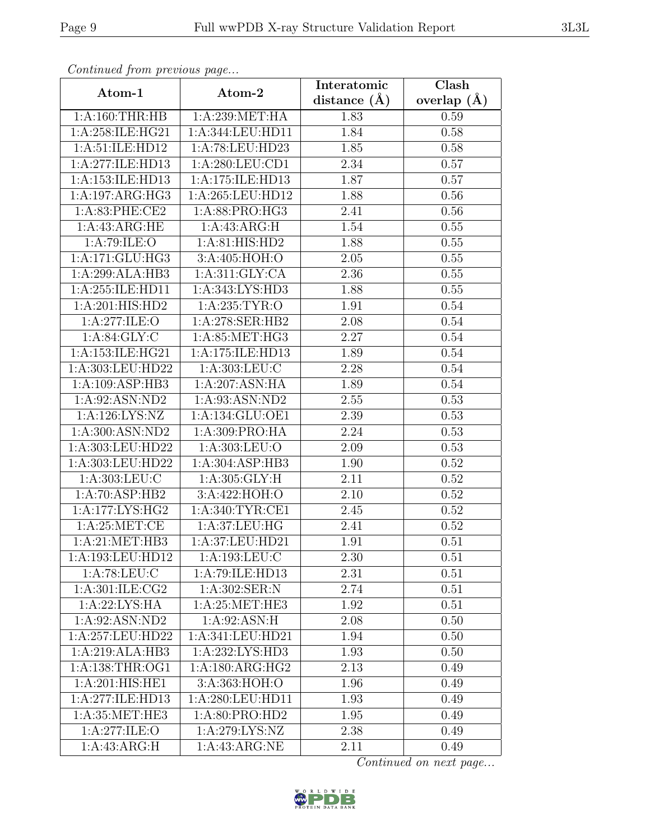| Continuea from previous page |                                   | Interatomic       | Clash         |
|------------------------------|-----------------------------------|-------------------|---------------|
| Atom-1                       | Atom-2                            | distance $(A)$    | overlap $(A)$ |
| 1:A:160:THR:HB               | 1: A:239: MET:HA                  | 1.83              | 0.59          |
| 1:A:258:ILE:HG21             | 1:A:344:LEU:HD11                  | 1.84              | 0.58          |
| 1:A:51:ILE:HD12              | 1:A:78:LEU:HD23                   | 1.85              | 0.58          |
| 1:A:277:ILE:HD13             | 1:A:280:LEU:CD1                   | 2.34              | 0.57          |
| 1:A:153:ILE:HD13             | 1:A:175:ILE:HD13                  | 1.87              | 0.57          |
| 1:A:197:ARG:HG3              | 1:A:265:LEU:HD12                  | 1.88              | 0.56          |
| 1:A:83:PHE:CE2               | $1:A:88:PP\overline{RO:HG3}$      | 2.41              | 0.56          |
| 1:A:43:ARG:HE                | 1: A: 43: ARG: H                  | 1.54              | 0.55          |
| 1:A:79:ILE:O                 | 1: A:81: HIS: HD2                 | 1.88              | 0.55          |
| 1:A:171:GLU:HG3              | 3:A:405:HOH:O                     | 2.05              | 0.55          |
| 1:A:299:ALA:HB3              | 1: A:311: GLY: CA                 | 2.36              | 0.55          |
| 1:A:255:ILE:HD11             | 1:A:343:LYS:HD3                   | 1.88              | 0.55          |
| 1:A:201:HIS:HD2              | 1: A:235: TYR:O                   | 1.91              | 0.54          |
| 1:A:277:ILE:O                | 1:A:278:SER:HB2                   | 2.08              | 0.54          |
| 1: A:84: GLY: C              | 1:A:85:MET:HG3                    | 2.27              | 0.54          |
| 1:A:153:ILE:HG21             | 1:A:175:ILE:HD13                  | 1.89              | 0.54          |
| 1:A:303:LEU:HD22             | 1: A: 303: LEU: C                 | 2.28              | 0.54          |
| 1:A:109:ASP:HB3              | 1:A:207:ASN:HA                    | 1.89              | 0.54          |
| 1:A:92:ASN:ND2               | 1:A:93:ASN:ND2                    | 2.55              | 0.53          |
| 1:A:126:LYS:NZ               | 1:A:134:GLU:OE1                   | 2.39              | 0.53          |
| 1:A:300:ASN:ND2              | 1:A:309:PRO:HA                    | 2.24              | 0.53          |
| 1:A:303:LEU:HD22             | 1:A:303:LEU:O                     | 2.09              | 0.53          |
| 1:A:303:LEU:HD22             | 1:A:304:ASP:HB3                   | 1.90              | 0.52          |
| 1: A: 303: LEU: C            | 1: A:305: GLY: H                  | $\overline{2.11}$ | 0.52          |
| 1:A:70:ASP:HB2               | 3:A:422:HOH:O                     | 2.10              | 0.52          |
| 1:A:177:LYS:HG2              | 1: A:340: TYR: CE1                | 2.45              | 0.52          |
| 1: A:25:MET:CE               | 1:A:37:LEU:HG                     | 2.41              | 0.52          |
| 1: A:21: MET:HB3             | 1:A:37:LEU:HD21                   | 1.91              | 0.51          |
| 1:A:193:LEU:HD12             | 1:A:193:LEU:C                     | 2.30              | 0.51          |
| 1: A:78: LEU: C              | 1:A:79:ILE:HD13                   | 2.31              | 0.51          |
| 1: A:301: ILE: CG2           | 1:A:302:SER:N                     | 2.74              | 0.51          |
| 1:A:22:LYS:HA                | 1: A:25:MET:HE3                   | 1.92              | 0.51          |
| 1:A:92:ASN:ND2               | 1:A:92:ASN:H                      | 2.08              | 0.50          |
| 1:A:257:LEU:HD22             | 1:A:341:LEU:HD21                  | 1.94              | 0.50          |
| 1:A:219:ALA:HB3              | 1:A:232:LYS:H <sub>D3</sub>       | 1.93              | 0.50          |
| 1: A: 138: THR: OG1          | 1: A: 180: ARG: HG2               | 2.13              | 0.49          |
| 1:A:201:HIS:HE1              | 3:A:363:HOH:O                     | 1.96              | 0.49          |
| 1:A:277:ILE:HD13             | 1:A:280:LEU:HD11                  | 1.93              | 0.49          |
| 1:A:35:MET:HE3               | 1:A:80:PRO:HD2                    | 1.95              | 0.49          |
| 1:A:277:ILE:O                | 1:A:279:LYS:NZ                    | 2.38              | 0.49          |
| 1:A:43:ARG:H                 | $1:A:43:ARG:\overline{\text{NE}}$ | 2.11              | 0.49          |

Continued from previous page.

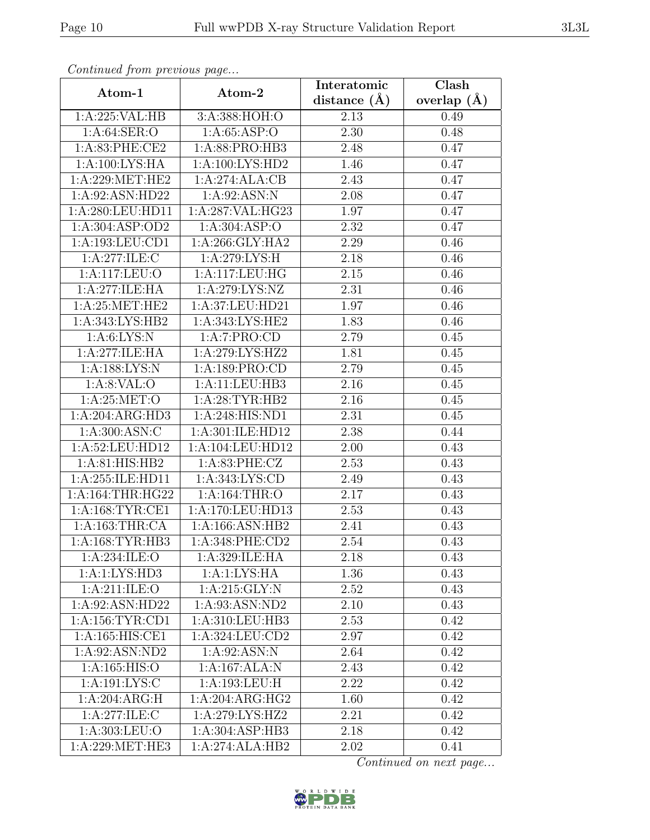| Continued from previous page                 |                              | Interatomic      | $\overline{\text{Clash}}$ |
|----------------------------------------------|------------------------------|------------------|---------------------------|
| Atom-1                                       | Atom-2                       | distance $(\AA)$ | overlap $(A)$             |
| 1:A:225:VAL:HB                               | 3:A:388:HOH:O                | 2.13             | 0.49                      |
| 1:A:64:SER:O                                 | 1: A:65: ASP:O               | 2.30             | 0.48                      |
| 1: A:83: PHE:CE2                             | 1: A:88: PRO:HB3             | 2.48             | 0.47                      |
| 1:A:100:LYS:HA                               | 1:A:100:LYS:HD2              | 1.46             | 0.47                      |
| 1: A:229: MET:HE2                            | 1:A:274:ALA:CB               | 2.43             | 0.47                      |
| 1:A:92:ASN:HD22                              | 1:A:92:ASN:N                 | 2.08             | 0.47                      |
| 1:A:280:LEU:HD11                             | 1:A:287:VAL:HG23             | 1.97             | 0.47                      |
| 1: A:304: ASP:OD2                            | 1: A:304: ASP:O              | 2.32             | 0.47                      |
| 1:A:193:LEU:CD1                              | 1: A:266: GLY:HA2            | 2.29             | 0.46                      |
| 1:A:277:ILE:C                                | 1: A:279: LYS:H              | 2.18             | 0.46                      |
| 1:A:117:LEU:O                                | 1:A:117:LEU:HG               | 2.15             | 0.46                      |
| 1:A:277:ILE:HA                               | 1: A:279: LYS: NZ            | 2.31             | 0.46                      |
| 1:A:25:MET:HE2                               | 1:A:37:LEU:HD21              | 1.97             | 0.46                      |
| $1:A:343:\overline{\text{LYS:HB2}}$          | 1:A:343:LYS:HE2              | 1.83             | 0.46                      |
| 1: A:6: LYS: N                               | 1:A:7:PRO:CD                 | 2.79             | 0.45                      |
| 1:A:277:ILE:HA                               | 1:A:279:LYS:HZ2              | 1.81             | 0.45                      |
| 1:A:188:LYS:N                                | 1:A:189:PRO:CD               | 2.79             | 0.45                      |
| 1: A:8: VAL:O                                | 1:A:11:LEU:HB3               | 2.16             | 0.45                      |
| 1: A:25:MET:O                                | 1:A:28:TYR:HB2               | 2.16             | 0.45                      |
| 1:A:204:ARG:HD3                              | 1:A:248:HIS:ND1              | 2.31             | 0.45                      |
| 1: A:300: ASN: C                             | 1:A:301:ILE:HD12             | 2.38             | 0.44                      |
| 1:A:52:LEU:HD12                              | 1:A:104:LEU:HD12             | 2.00             | 0.43                      |
| 1:A:81:HIS:HB2                               | 1:A:83:PHE:CZ                | 2.53             | 0.43                      |
| 1:A:255:ILE:HD11                             | 1: A:343: LYS: CD            | 2.49             | 0.43                      |
| 1: A:164:THR:HG22                            | 1:A:164:THR:O                | 2.17             | 0.43                      |
| 1: A: 168: TYR: CE1                          | 1:A:170:LEU:HD13             | 2.53             | 0.43                      |
| 1:A:163:THR:CA                               | 1:A:166:ASN:HB2              | 2.41             | 0.43                      |
| 1: A:168: TYR:HB3                            | 1: A:348: PHE:CD2            | 2.54             | 0.43                      |
| 1:A:234:ILE:O                                | 1:A:329:ILE:HA               | 2.18             | 0.43                      |
| 1:A:1:LYS:HD3                                | 1:A:1:LYS:HA                 | 1.36             | 0.43                      |
| 1:A:211:ILE:O                                | 1:A:215:GLY:N                | 2.52             | 0.43                      |
| 1:A:92:ASN:HD22                              | 1:A:93:ASN:ND2               | 2.10             | 0.43                      |
| 1:A:156:TYR:CD1                              | 1:A:310:LEU:HB3              | 2.53             | 0.42                      |
| 1:A:165:HIS:CE1                              | 1:A:324:LEU:CD2              | 2.97             | 0.42                      |
| 1:A:92:ASN:ND2                               | 1:A:92:ASN:N                 | 2.64             | 0.42                      |
| 1:A:165:HIS:O                                | 1:A:167:ALA:N                | 2.43             | 0.42                      |
| 1:A:191:LYS:C                                | 1:A:193:LEU:H                | 2.22             | 0.42                      |
| 1:A:204:ARG:H                                | 1:A:204:ARG:HG2              | 1.60             | 0.42                      |
| 1:A:277:ILE:C                                | 1:A:279:LYS:HZ2              | 2.21             | 0.42                      |
| 1:A:303:LEU:O                                | $1:A:304:AS\overline{P:HB3}$ | 2.18             | 0.42                      |
| $1: A:229: \overline{\text{MET}:\text{HE3}}$ | 1:A:274:ALA:HB2              | 2.02             | 0.41                      |

Continued from previous page.

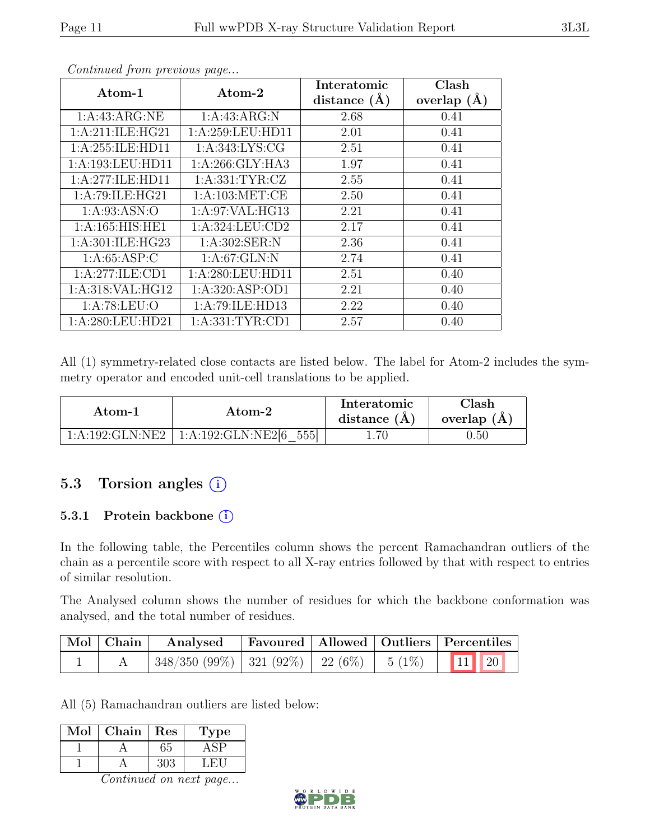| $\rm{Atom}\text{-}1$ | Atom-2              | Interatomic      | Clash         |
|----------------------|---------------------|------------------|---------------|
|                      |                     | distance $(\AA)$ | overlap $(A)$ |
| 1:A:43:ARG:NE        | 1: A: 43: ARG: N    | 2.68             | 0.41          |
| 1:A:211:ILE:HG21     | 1: A:259:LEU:HD11   | 2.01             | 0.41          |
| 1:A:255:ILE:HD11     | 1: A:343: LYS: CG   | 2.51             | 0.41          |
| 1:A:193:LEU:HD11     | 1:A:266:GLY:HA3     | 1.97             | 0.41          |
| 1:A:277:ILE:HD11     | 1: A: 331: TYR: CZ  | 2.55             | 0.41          |
| 1:A:79:ILE:HG21      | 1: A: 103: MET:CE   | 2.50             | 0.41          |
| 1: A:93: ASN:O       | 1:A:97:VAL:HG13     | 2.21             | 0.41          |
| 1:A:165:HIS:HE1      | 1: A:324:LEU:CD2    | 2.17             | 0.41          |
| 1:A:301:ILE:HG23     | 1: A:302: SER: N    | 2.36             | 0.41          |
| 1: A:65:ASP:C        | 1: A:67: GLN:N      | 2.74             | 0.41          |
| 1:A:277:ILE:CD1      | 1: A:280:LEU:HD11   | 2.51             | 0.40          |
| 1:A:318:VAL:HG12     | 1:A:320:ASP:OD1     | 2.21             | 0.40          |
| 1: A:78:LEU:O        | 1:A:79:ILE:HD13     | 2.22             | 0.40          |
| 1:A:280:LEU:HD21     | 1: A: 331: TYR: CD1 | 2.57             | 0.40          |

Continued from previous page...

All (1) symmetry-related close contacts are listed below. The label for Atom-2 includes the symmetry operator and encoded unit-cell translations to be applied.

| Atom-1          | Atom-2                         | Interatomic<br>distance $(A)$ | Clash<br>overlap $(A)$ |
|-----------------|--------------------------------|-------------------------------|------------------------|
| 1:A:192:GLN:NE2 | $\perp$ 1:A:192:GLN:NE2[6 555] |                               | $\rm 0.50$             |

### 5.3 Torsion angles  $(i)$

#### 5.3.1 Protein backbone (i)

In the following table, the Percentiles column shows the percent Ramachandran outliers of the chain as a percentile score with respect to all X-ray entries followed by that with respect to entries of similar resolution.

The Analysed column shows the number of residues for which the backbone conformation was analysed, and the total number of residues.

| Mol Chain | Analysed                                               |  | <b>Favoured</b> Allowed Outliers Percentiles |
|-----------|--------------------------------------------------------|--|----------------------------------------------|
|           | $348/350$ (99%) $321$ (92%) $22$ (6%) $5$ (1%) $11$ 20 |  |                                              |

All (5) Ramachandran outliers are listed below:

| Mol | Chain | Res | ype |
|-----|-------|-----|-----|
|     |       |     |     |
|     |       |     |     |

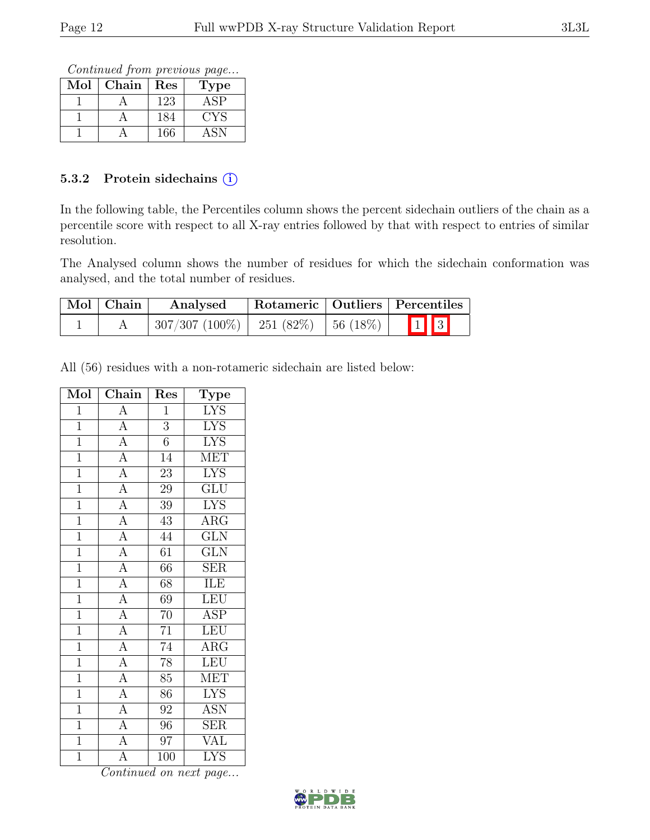Continued from previous page...

| Mol | Chain | $\operatorname{Res}% \left( \mathcal{N}\right) \equiv\operatorname{Res}(\mathcal{N}_{0},\mathcal{N}_{0})$ | <b>Type</b> |
|-----|-------|-----------------------------------------------------------------------------------------------------------|-------------|
|     |       | 123                                                                                                       | ASP         |
|     |       | 184                                                                                                       | CYS         |
|     |       | 166                                                                                                       |             |

#### 5.3.2 Protein side chains (i)

In the following table, the Percentiles column shows the percent sidechain outliers of the chain as a percentile score with respect to all X-ray entries followed by that with respect to entries of similar resolution.

The Analysed column shows the number of residues for which the sidechain conformation was analysed, and the total number of residues.

| Mol   Chain | Analysed                                   |  | Rotameric   Outliers   Percentiles |
|-------------|--------------------------------------------|--|------------------------------------|
|             | $307/307 (100\%)$   251 (82\%)   56 (18\%) |  | $\boxed{1}$ $\boxed{3}$            |

All (56) residues with a non-rotameric sidechain are listed below:

| Mol            | Chain                                                                                                                                           | Res             | <b>Type</b>             |
|----------------|-------------------------------------------------------------------------------------------------------------------------------------------------|-----------------|-------------------------|
| $\mathbf{1}$   | $\overline{A}$                                                                                                                                  | $\mathbf{1}$    | <b>LYS</b>              |
| $\mathbf{1}$   |                                                                                                                                                 | $\overline{3}$  | <b>LYS</b>              |
| $\overline{1}$ |                                                                                                                                                 | $\overline{6}$  | <b>LYS</b>              |
| $\overline{1}$ |                                                                                                                                                 | $\overline{14}$ | <b>MET</b>              |
| $\overline{1}$ |                                                                                                                                                 | $\overline{23}$ | $\overline{\text{LYS}}$ |
| $\overline{1}$ |                                                                                                                                                 | $\overline{29}$ | $\overline{\text{GLU}}$ |
| $\overline{1}$ |                                                                                                                                                 | 39              | <b>LYS</b>              |
| $\overline{1}$ | $\frac{\overline{A}}{\overline{A}}$ $\frac{\overline{A}}{\overline{A}}$ $\frac{\overline{A}}{\overline{A}}$ $\frac{\overline{A}}{\overline{A}}$ | $\overline{43}$ | $\overline{\text{ARG}}$ |
| $\overline{1}$ |                                                                                                                                                 | 44              | $\overline{\text{GLN}}$ |
| $\overline{1}$ |                                                                                                                                                 | $\overline{61}$ | $\overline{\text{GLN}}$ |
| $\overline{1}$ | $\frac{\overline{A}}{\overline{A}}$ $\frac{\overline{A}}{\overline{A}}$ $\frac{\overline{A}}{\overline{A}}$                                     | 66              | $\overline{\text{SER}}$ |
| $\overline{1}$ |                                                                                                                                                 | 68              | ILE                     |
| $\overline{1}$ |                                                                                                                                                 | $\overline{69}$ | LEU                     |
| $\overline{1}$ |                                                                                                                                                 | $70\,$          | <b>ASP</b>              |
| $\overline{1}$ |                                                                                                                                                 | $\overline{71}$ | LEU                     |
| $\overline{1}$ |                                                                                                                                                 | 74              | $\overline{\text{ARG}}$ |
| $\overline{1}$ | $\overline{A}$                                                                                                                                  | $\overline{78}$ | LEU                     |
| $\overline{1}$ |                                                                                                                                                 | $\overline{85}$ | <b>MET</b>              |
| $\overline{1}$ |                                                                                                                                                 | 86              | <b>LYS</b>              |
| $\overline{1}$ | $\frac{\overline{A}}{\overline{A}}$<br>$\frac{\overline{A}}{\overline{A}}$                                                                      | $\overline{92}$ | <b>ASN</b>              |
| $\overline{1}$ |                                                                                                                                                 | $\overline{96}$ | $\overline{\text{SER}}$ |
| $\overline{1}$ | $\overline{A}$                                                                                                                                  | $\overline{97}$ | <b>VAL</b>              |
| $\overline{1}$ | $\overline{\rm A}$                                                                                                                              | 100             | <b>LYS</b>              |

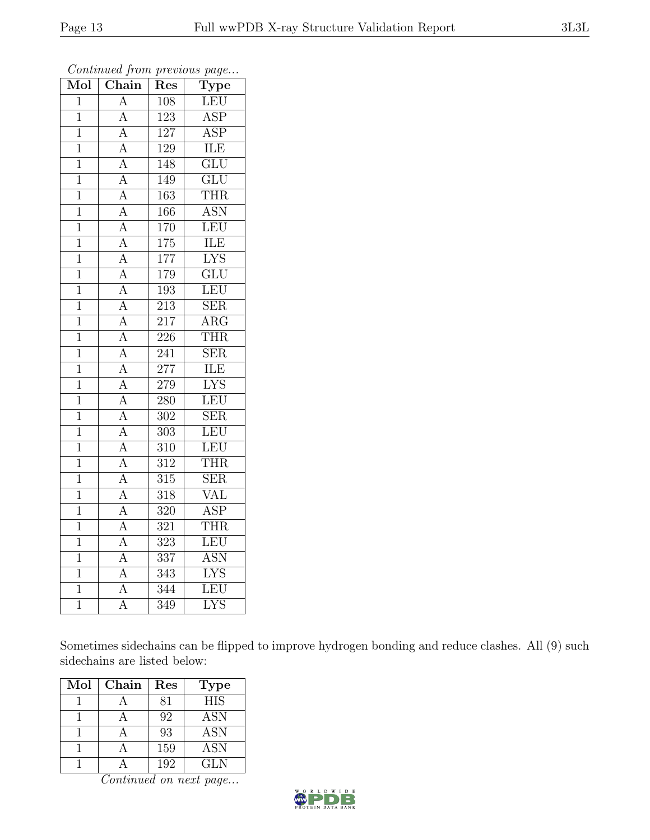| Mol            | $\boldsymbol{\omega}$<br>$\overline{\text{Chain}}$ | Res              | $\overline{v}$<br>Type    |
|----------------|----------------------------------------------------|------------------|---------------------------|
| $\overline{1}$ | $\overline{A}$                                     | 108              | LEU                       |
| $\mathbf{1}$   | $\overline{A}$                                     | 123              | $\overline{\text{ASP}}$   |
| $\overline{1}$ | $\overline{A}$                                     | 127              | $\overline{\text{ASP}}$   |
| $\overline{1}$ | $\overline{A}$                                     | 129              | ILE                       |
| $\overline{1}$ | $\overline{\rm A}$                                 | 148              | $\overline{\text{GLU}}$   |
| $\overline{1}$ | $\overline{A}$                                     | 149              | $\overline{\text{GLU}}$   |
| $\mathbf{1}$   | $\overline{A}$                                     | 163              | <b>THR</b>                |
| $\overline{1}$ | $\overline{A}$                                     | 166              | <b>ASN</b>                |
| 1              | $\overline{A}$                                     | 170              | LEU                       |
| 1              | $\overline{A}$                                     | $\overline{175}$ | <b>ILE</b>                |
| $\mathbf 1$    | $\overline{A}$                                     | 177              | $\overline{\text{LYS}}$   |
| $\mathbf 1$    | $\overline{A}$                                     | 179              | $\overline{\mathrm{GLU}}$ |
| $\overline{1}$ | $\overline{A}$                                     | 193              | LEU                       |
| $\mathbf 1$    | $\overline{A}$                                     | 213              | <b>SER</b>                |
| $\overline{1}$ | $\overline{A}$                                     | $\sqrt{217}$     | $\overline{\text{ARG}}$   |
| $\mathbf 1$    | $\overline{A}$                                     | 226              | <b>THR</b>                |
| $\overline{1}$ | $\overline{A}$                                     | $\overline{241}$ | $\overline{\text{SER}}$   |
| $\overline{1}$ | $\overline{A}$                                     | 277              | <b>ILE</b>                |
| $\mathbf{1}$   | $\overline{A}$                                     | 279              | <b>LYS</b>                |
| $\mathbf{1}$   | $\overline{A}$                                     | $\overline{280}$ | LEU                       |
| $\mathbf 1$    | $\overline{A}$                                     | $\overline{302}$ | $\overline{\text{SER}}$   |
| $\mathbf 1$    | $\overline{A}$                                     | $\overline{303}$ | LEU                       |
| $\mathbf{1}$   | $\overline{A}$                                     | 310              | LEU                       |
| $\overline{1}$ | $\overline{\rm A}$                                 | $\overline{312}$ | <b>THR</b>                |
| $\overline{1}$ | $\overline{A}$                                     | 315              | $\overline{\text{SER}}$   |
| $\mathbf{1}$   | $\overline{A}$                                     | $\overline{318}$ | VAL                       |
| 1              | $\overline{A}$                                     | $\overline{320}$ | <b>ASP</b>                |
| $\overline{1}$ | $\overline{A}$                                     | 321              | <b>THR</b>                |
| $\overline{1}$ | $\overline{A}$                                     | $\overline{323}$ | LEU                       |
| 1              | A                                                  | $\overline{3}37$ | <b>ASN</b>                |
| $\mathbf{1}$   | $\overline{A}$                                     | 343              | <b>LYS</b>                |
| $\overline{1}$ | $\overline{A}$                                     | 344              | <b>LEU</b>                |
| $\overline{1}$ | $\overline{\rm A}$                                 | $\overline{3}49$ | $\overline{\text{LYS}}$   |

Continued from previous page...

Sometimes sidechains can be flipped to improve hydrogen bonding and reduce clashes. All (9) such sidechains are listed below:

| Mol | Chain | Res | <b>Type</b>      |
|-----|-------|-----|------------------|
|     |       | 81  | $\overline{HIS}$ |
|     |       | 92  | <b>ASN</b>       |
|     |       | 93  | <b>ASN</b>       |
|     |       | 159 | <b>ASN</b>       |
|     |       | 192 | GLN              |

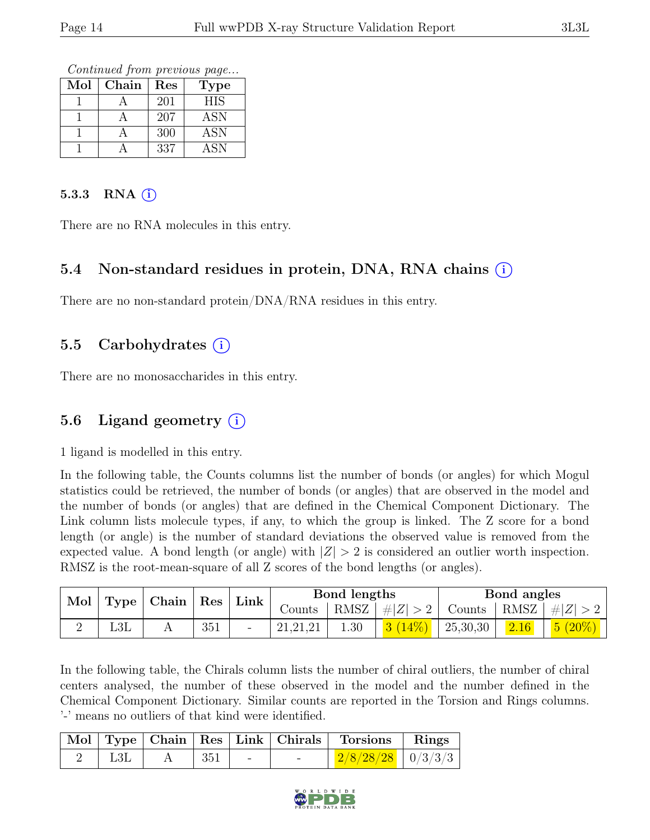Continued from previous page...

| Mol | Chain | Res | Type       |
|-----|-------|-----|------------|
|     |       | 201 | <b>HIS</b> |
|     |       | 207 | ASN        |
|     |       | 300 | ASN        |
|     |       | 337 | <b>ASN</b> |

#### 5.3.3 RNA  $(i)$

There are no RNA molecules in this entry.

### 5.4 Non-standard residues in protein, DNA, RNA chains (i)

There are no non-standard protein/DNA/RNA residues in this entry.

#### 5.5 Carbohydrates  $(i)$

There are no monosaccharides in this entry.

### 5.6 Ligand geometry  $(i)$

1 ligand is modelled in this entry.

In the following table, the Counts columns list the number of bonds (or angles) for which Mogul statistics could be retrieved, the number of bonds (or angles) that are observed in the model and the number of bonds (or angles) that are defined in the Chemical Component Dictionary. The Link column lists molecule types, if any, to which the group is linked. The Z score for a bond length (or angle) is the number of standard deviations the observed value is removed from the expected value. A bond length (or angle) with  $|Z| > 2$  is considered an outlier worth inspection. RMSZ is the root-mean-square of all Z scores of the bond lengths (or angles).

| Mol | Type         | $\vert$ Chain $\vert$ Res |     |  |            | Link |                       | Bond lengths                                       |      |                           | Bond angles |  |
|-----|--------------|---------------------------|-----|--|------------|------|-----------------------|----------------------------------------------------|------|---------------------------|-------------|--|
|     |              |                           |     |  | Counts     |      | $ RMSZ  \#  Z  > 2  $ | $\perp$ Counts $\parallel$ RMSZ $\parallel \#  Z $ |      |                           |             |  |
|     | $_{\rm L3L}$ |                           | 351 |  | 21, 21, 21 | 1.30 |                       | 25,30,30                                           | 2.16 | 5 <sub>1</sub><br>$(20\%$ |             |  |

In the following table, the Chirals column lists the number of chiral outliers, the number of chiral centers analysed, the number of these observed in the model and the number defined in the Chemical Component Dictionary. Similar counts are reported in the Torsion and Rings columns. '-' means no outliers of that kind were identified.

|  |                     |            | Mol Type Chain Res Link Chirals Torsions Rings |  |
|--|---------------------|------------|------------------------------------------------|--|
|  | $\vert$ 351 $\vert$ | $\sim$ $-$ | $2/8/28/28$   0/3/3/3                          |  |

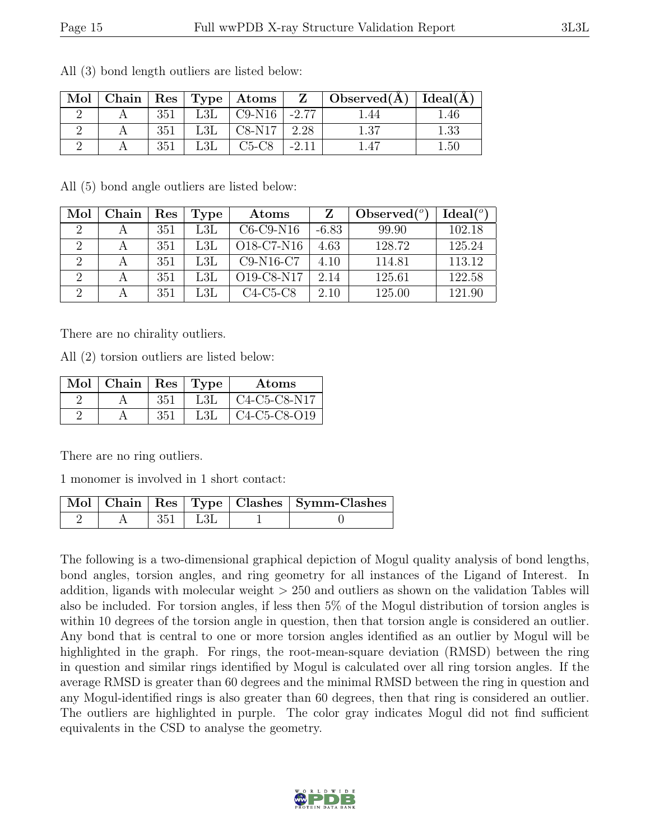| Mol |     |                      | $\mid$ Chain $\mid$ Res $\mid$ Type $\mid$ Atoms $\mid$ |         | $Z \mid$ Observed( $\AA$ )   Ideal( $\AA$ ) |          |
|-----|-----|----------------------|---------------------------------------------------------|---------|---------------------------------------------|----------|
|     | 351 | L3L                  | $C9-N16$ -2.77                                          |         | .44                                         | 4.46     |
|     | 351 | L3L                  | $C8-N17$                                                | 2.28    | $1.37\,$                                    | 1.33     |
|     | 351 | $\operatorname{L3L}$ | $C5-C8$                                                 | $-2.11$ | .47                                         | $1.50\,$ |

All (3) bond length outliers are listed below:

All (5) bond angle outliers are listed below:

| Mol                         | Chain | $\operatorname{Res}% \left( \mathcal{N}\right) \equiv\operatorname{Res}(\mathcal{N}_{0},\mathcal{N}_{0})$ | Type                 | Atoms                                            |         | Observed $(°)$ | Ideal $(°)$ |
|-----------------------------|-------|-----------------------------------------------------------------------------------------------------------|----------------------|--------------------------------------------------|---------|----------------|-------------|
| $\mathcal{D}$               |       | 351                                                                                                       | L3L                  | $C6-C9-N16$                                      | $-6.83$ | 99.90          | 102.18      |
| $\mathcal{D}_{\mathcal{L}}$ |       | 351                                                                                                       | $\operatorname{L3L}$ | O <sub>18</sub> -C <sub>7</sub> -N <sub>16</sub> | 4.63    | 128.72         | 125.24      |
|                             |       | 351                                                                                                       | L3L                  | $C9-N16-C7$                                      | 4.10    | 114.81         | 113.12      |
| $\Omega$                    |       | 351                                                                                                       | L3L                  | O19-C8-N17                                       | 2.14    | 125.61         | 122.58      |
| റ                           |       | 351                                                                                                       | L3L                  | $C4-C5-C8$                                       | 2.10    | 125.00         | 121.90      |

There are no chirality outliers.

All (2) torsion outliers are listed below:

| Mol   Chain   $Res$   Type |     |     | Atoms                |
|----------------------------|-----|-----|----------------------|
|                            | 351 | L3L | $\vert$ C4-C5-C8-N17 |
|                            | 351 | L3L | C4-C5-C8-O19         |

There are no ring outliers.

1 monomer is involved in 1 short contact:

|  |             | Mol   Chain   Res   Type   Clashes   Symm-Clashes |
|--|-------------|---------------------------------------------------|
|  | $351$   L3L |                                                   |

The following is a two-dimensional graphical depiction of Mogul quality analysis of bond lengths, bond angles, torsion angles, and ring geometry for all instances of the Ligand of Interest. In addition, ligands with molecular weight > 250 and outliers as shown on the validation Tables will also be included. For torsion angles, if less then 5% of the Mogul distribution of torsion angles is within 10 degrees of the torsion angle in question, then that torsion angle is considered an outlier. Any bond that is central to one or more torsion angles identified as an outlier by Mogul will be highlighted in the graph. For rings, the root-mean-square deviation (RMSD) between the ring in question and similar rings identified by Mogul is calculated over all ring torsion angles. If the average RMSD is greater than 60 degrees and the minimal RMSD between the ring in question and any Mogul-identified rings is also greater than 60 degrees, then that ring is considered an outlier. The outliers are highlighted in purple. The color gray indicates Mogul did not find sufficient equivalents in the CSD to analyse the geometry.

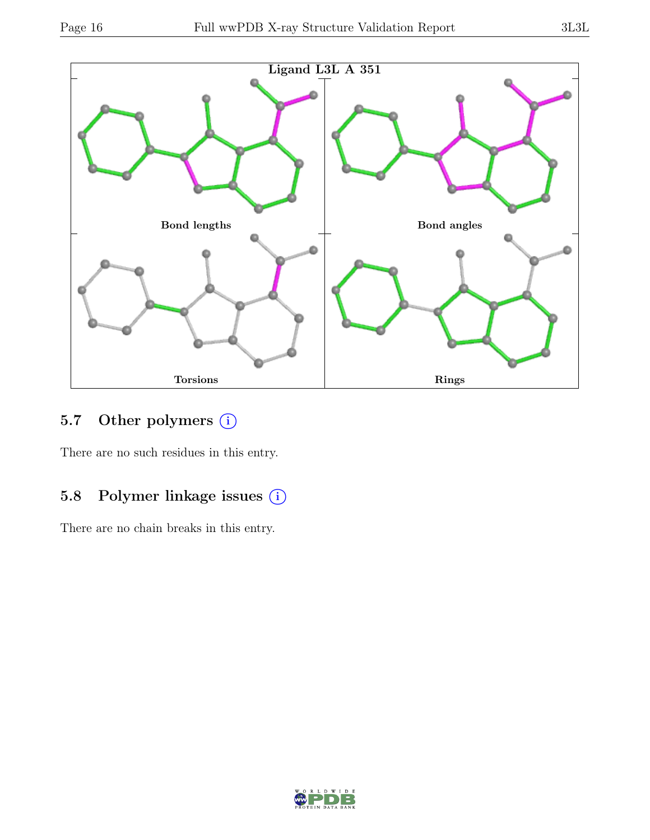

# 5.7 Other polymers (i)

There are no such residues in this entry.

### 5.8 Polymer linkage issues (i)

There are no chain breaks in this entry.

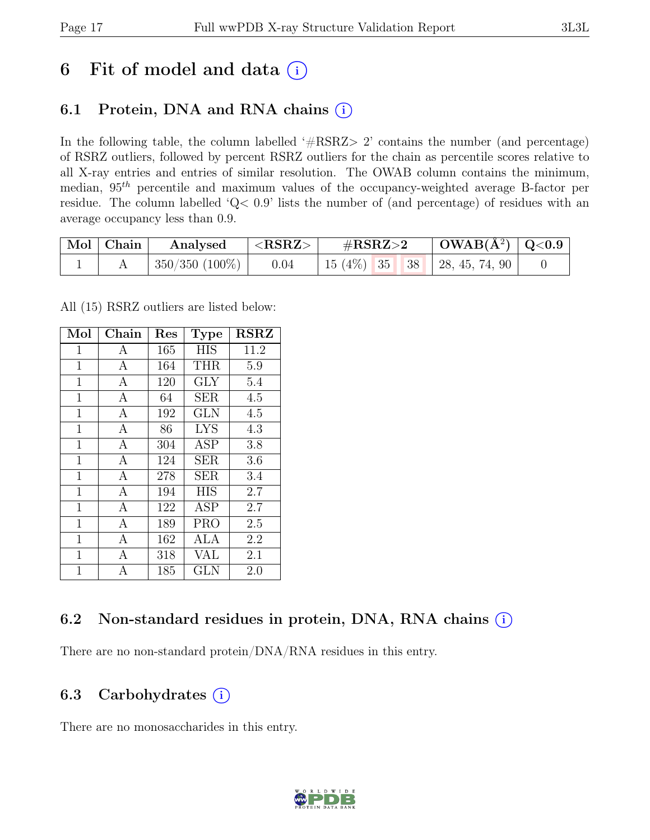# 6 Fit of model and data  $(i)$

# 6.1 Protein, DNA and RNA chains  $(i)$

In the following table, the column labelled '#RSRZ> 2' contains the number (and percentage) of RSRZ outliers, followed by percent RSRZ outliers for the chain as percentile scores relative to all X-ray entries and entries of similar resolution. The OWAB column contains the minimum, median,  $95<sup>th</sup>$  percentile and maximum values of the occupancy-weighted average B-factor per residue. The column labelled 'Q< 0.9' lists the number of (and percentage) of residues with an average occupancy less than 0.9.

| Mol   Chain | Analysed                   | $<$ RSRZ $>$ | $\#\text{RSRZ}\text{>2}$            |  | $\mid$ OWAB(Å <sup>2</sup> ) $\mid$ Q<0.9 $\mid$ |  |
|-------------|----------------------------|--------------|-------------------------------------|--|--------------------------------------------------|--|
|             | $\pm$ 350/350 (100%) $\pm$ | 0.04         | 15 (4\%)   35   38   28, 45, 74, 90 |  |                                                  |  |

All (15) RSRZ outliers are listed below:

| Mol            | Chain          | $\operatorname{Res}% \left( \mathcal{N}\right) \equiv\operatorname{Res}(\mathcal{N}_{0},\mathcal{N}_{0})$ | <b>Type</b> | <b>RSRZ</b> |
|----------------|----------------|-----------------------------------------------------------------------------------------------------------|-------------|-------------|
| $\mathbf 1$    | А              | 165                                                                                                       | <b>HIS</b>  | 11.2        |
| $\mathbf{1}$   | $\mathbf{A}$   | 164                                                                                                       | <b>THR</b>  | 5.9         |
| $\mathbf 1$    | А              | 120                                                                                                       | <b>GLY</b>  | 5.4         |
| $\mathbf{1}$   | A              | 64                                                                                                        | <b>SER</b>  | 4.5         |
| $\mathbf{1}$   | $\mathbf{A}$   | 192                                                                                                       | <b>GLN</b>  | 4.5         |
| $\mathbf 1$    | A              | 86                                                                                                        | <b>LYS</b>  | 4.3         |
| 1              | A              | 304                                                                                                       | <b>ASP</b>  | 3.8         |
| $\overline{1}$ | $\mathbf{A}$   | 124                                                                                                       | <b>SER</b>  | 3.6         |
| $\overline{1}$ | A              | 278                                                                                                       | <b>SER</b>  | 3.4         |
| $\mathbf{1}$   | A              | 194                                                                                                       | <b>HIS</b>  | 2.7         |
| $\mathbf 1$    | $\mathbf{A}$   | 122                                                                                                       | <b>ASP</b>  | 2.7         |
| 1              | $\overline{A}$ | 189                                                                                                       | PRO         | 2.5         |
| $\mathbf 1$    | А              | 162                                                                                                       | ALA         | 2.2         |
| $\mathbf 1$    | A              | 318                                                                                                       | <b>VAL</b>  | 2.1         |
| $\overline{1}$ | A              | 185                                                                                                       | <b>GLN</b>  | 2.0         |

### 6.2 Non-standard residues in protein, DNA, RNA chains  $(i)$

There are no non-standard protein/DNA/RNA residues in this entry.

### 6.3 Carbohydrates  $(i)$

There are no monosaccharides in this entry.